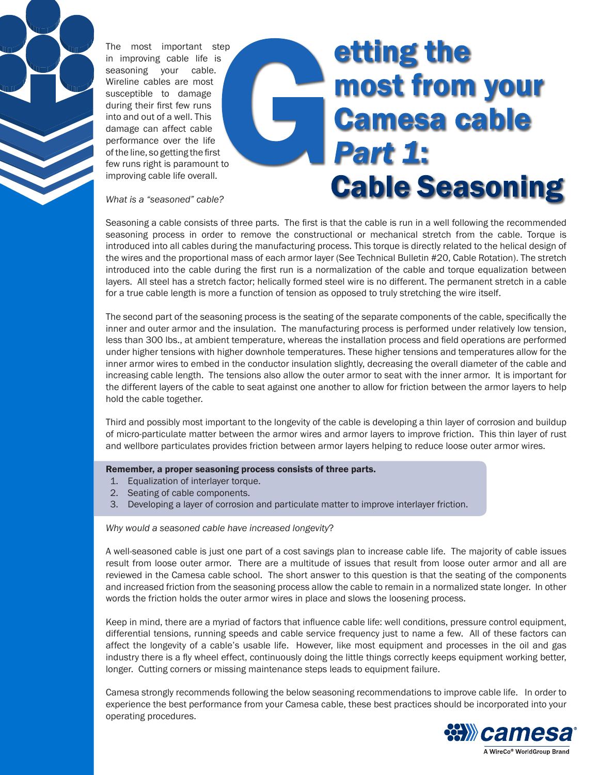

The most important step in improving cable life is seasoning your cable. Wireline cables are most susceptible to damage during their first few runs into and out of a well. This damage can affect cable performance over the life of the line, so getting the first few runs right is paramount to improving cable life overall.

# **etting the** most from your **Camesa cable Part 1: Cable Seasoning**

*What is a "seasoned" cable?*

Seasoning a cable consists of three parts. The first is that the cable is run in a well following the recommended seasoning process in order to remove the constructional or mechanical stretch from the cable. Torque is introduced into all cables during the manufacturing process. This torque is directly related to the helical design of the wires and the proportional mass of each armor layer (See Technical Bulletin #20, Cable Rotation). The stretch introduced into the cable during the first run is a normalization of the cable and torque equalization between layers. All steel has a stretch factor; helically formed steel wire is no different. The permanent stretch in a cable for a true cable length is more a function of tension as opposed to truly stretching the wire itself.

The second part of the seasoning process is the seating of the separate components of the cable, specifically the inner and outer armor and the insulation. The manufacturing process is performed under relatively low tension, less than 300 lbs., at ambient temperature, whereas the installation process and field operations are performed under higher tensions with higher downhole temperatures. These higher tensions and temperatures allow for the inner armor wires to embed in the conductor insulation slightly, decreasing the overall diameter of the cable and increasing cable length. The tensions also allow the outer armor to seat with the inner armor. It is important for the different layers of the cable to seat against one another to allow for friction between the armor layers to help hold the cable together.

Third and possibly most important to the longevity of the cable is developing a thin layer of corrosion and buildup of micro-particulate matter between the armor wires and armor layers to improve friction. This thin layer of rust and wellbore particulates provides friction between armor layers helping to reduce loose outer armor wires.

#### Remember, a proper seasoning process consists of three parts.

- 1. Equalization of interlayer torque.
- 2. Seating of cable components.
- 3. Developing a layer of corrosion and particulate matter to improve interlayer friction.

*Why would a seasoned cable have increased longevity*?

A well-seasoned cable is just one part of a cost savings plan to increase cable life. The majority of cable issues result from loose outer armor. There are a multitude of issues that result from loose outer armor and all are reviewed in the Camesa cable school. The short answer to this question is that the seating of the components and increased friction from the seasoning process allow the cable to remain in a normalized state longer. In other words the friction holds the outer armor wires in place and slows the loosening process.

Keep in mind, there are a myriad of factors that influence cable life: well conditions, pressure control equipment, differential tensions, running speeds and cable service frequency just to name a few. All of these factors can affect the longevity of a cable's usable life. However, like most equipment and processes in the oil and gas industry there is a fly wheel effect, continuously doing the little things correctly keeps equipment working better, longer. Cutting corners or missing maintenance steps leads to equipment failure.

Camesa strongly recommends following the below seasoning recommendations to improve cable life. In order to experience the best performance from your Camesa cable, these best practices should be incorporated into your operating procedures.